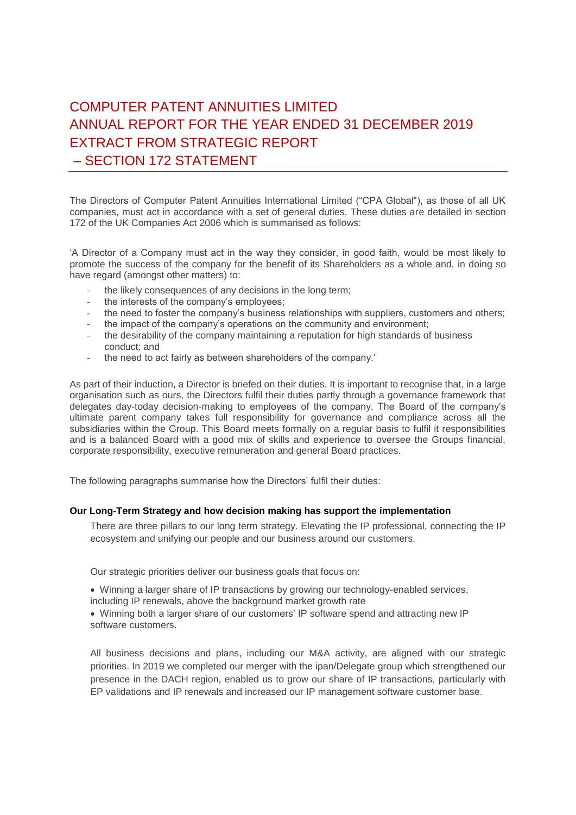# COMPUTER PATENT ANNUITIES LIMITED ANNUAL REPORT FOR THE YEAR ENDED 31 DECEMBER 2019 EXTRACT FROM STRATEGIC REPORT – SECTION 172 STATEMENT

The Directors of Computer Patent Annuities International Limited ("CPA Global"), as those of all UK companies, must act in accordance with a set of general duties. These duties are detailed in section 172 of the UK Companies Act 2006 which is summarised as follows:

'A Director of a Company must act in the way they consider, in good faith, would be most likely to promote the success of the company for the benefit of its Shareholders as a whole and, in doing so have regard (amongst other matters) to:

- the likely consequences of any decisions in the long term;
- the interests of the company's employees;
- the need to foster the company's business relationships with suppliers, customers and others;
- the impact of the company's operations on the community and environment;
- the desirability of the company maintaining a reputation for high standards of business conduct; and
- the need to act fairly as between shareholders of the company.'

As part of their induction, a Director is briefed on their duties. It is important to recognise that, in a large organisation such as ours, the Directors fulfil their duties partly through a governance framework that delegates day-today decision-making to employees of the company. The Board of the company's ultimate parent company takes full responsibility for governance and compliance across all the subsidiaries within the Group. This Board meets formally on a regular basis to fulfil it responsibilities and is a balanced Board with a good mix of skills and experience to oversee the Groups financial, corporate responsibility, executive remuneration and general Board practices.

The following paragraphs summarise how the Directors' fulfil their duties:

## **Our Long-Term Strategy and how decision making has support the implementation**

There are three pillars to our long term strategy. Elevating the IP professional, connecting the IP ecosystem and unifying our people and our business around our customers.

Our strategic priorities deliver our business goals that focus on:

• Winning a larger share of IP transactions by growing our technology-enabled services, including IP renewals, above the background market growth rate

• Winning both a larger share of our customers' IP software spend and attracting new IP software customers.

All business decisions and plans, including our M&A activity, are aligned with our strategic priorities. In 2019 we completed our merger with the ipan/Delegate group which strengthened our presence in the DACH region, enabled us to grow our share of IP transactions, particularly with EP validations and IP renewals and increased our IP management software customer base.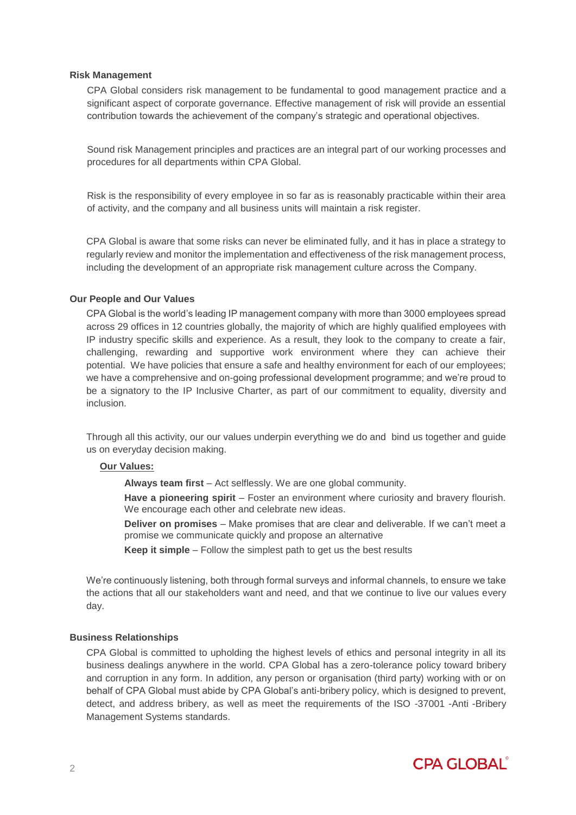## **Risk Management**

CPA Global considers risk management to be fundamental to good management practice and a significant aspect of corporate governance. Effective management of risk will provide an essential contribution towards the achievement of the company's strategic and operational objectives.

Sound risk Management principles and practices are an integral part of our working processes and procedures for all departments within CPA Global.

Risk is the responsibility of every employee in so far as is reasonably practicable within their area of activity, and the company and all business units will maintain a risk register.

CPA Global is aware that some risks can never be eliminated fully, and it has in place a strategy to regularly review and monitor the implementation and effectiveness of the risk management process, including the development of an appropriate risk management culture across the Company.

## **Our People and Our Values**

CPA Global is the world's leading IP management company with more than 3000 employees spread across 29 offices in 12 countries globally, the majority of which are highly qualified employees with IP industry specific skills and experience. As a result, they look to the company to create a fair, challenging, rewarding and supportive work environment where they can achieve their potential. We have policies that ensure a safe and healthy environment for each of our employees; we have a comprehensive and on-going professional development programme; and we're proud to be a signatory to the IP Inclusive Charter, as part of our commitment to equality, diversity and inclusion.

Through all this activity, our our values underpin everything we do and bind us together and guide us on everyday decision making.

## **Our Values:**

**Always team first** – Act selflessly. We are one global community.

**Have a pioneering spirit** – Foster an environment where curiosity and bravery flourish. We encourage each other and celebrate new ideas.

**Deliver on promises** – Make promises that are clear and deliverable. If we can't meet a promise we communicate quickly and propose an alternative

**Keep it simple** – Follow the simplest path to get us the best results

We're continuously listening, both through formal surveys and informal channels, to ensure we take the actions that all our stakeholders want and need, and that we continue to live our values every day.

## **Business Relationships**

CPA Global is committed to upholding the highest levels of ethics and personal integrity in all its business dealings anywhere in the world. CPA Global has a zero-tolerance policy toward bribery and corruption in any form. In addition, any person or organisation (third party) working with or on behalf of CPA Global must abide by CPA Global's anti-bribery policy, which is designed to prevent, detect, and address bribery, as well as meet the requirements of the ISO -37001 -Anti -Bribery Management Systems standards.

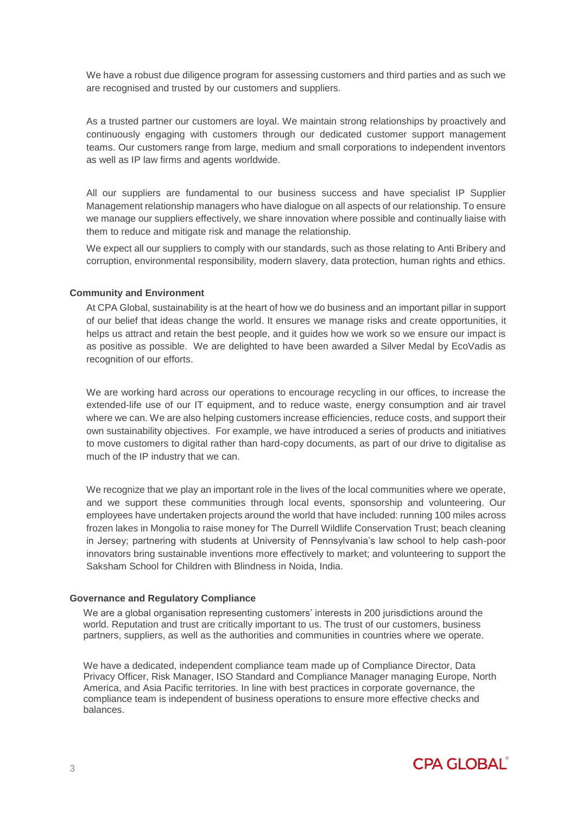We have a robust due diligence program for assessing customers and third parties and as such we are recognised and trusted by our customers and suppliers.

As a trusted partner our customers are loyal. We maintain strong relationships by proactively and continuously engaging with customers through our dedicated customer support management teams. Our customers range from large, medium and small corporations to independent inventors as well as IP law firms and agents worldwide.

All our suppliers are fundamental to our business success and have specialist IP Supplier Management relationship managers who have dialogue on all aspects of our relationship. To ensure we manage our suppliers effectively, we share innovation where possible and continually liaise with them to reduce and mitigate risk and manage the relationship.

We expect all our suppliers to comply with our standards, such as those relating to Anti Bribery and corruption, environmental responsibility, modern slavery, data protection, human rights and ethics.

## **Community and Environment**

At CPA Global, sustainability is at the heart of how we do business and an important pillar in support of our belief that ideas change the world. It ensures we manage risks and create opportunities, it helps us attract and retain the best people, and it guides how we work so we ensure our impact is as positive as possible. We are delighted to have been awarded a Silver Medal by EcoVadis as recognition of our efforts.

We are working hard across our operations to encourage recycling in our offices, to increase the extended-life use of our IT equipment, and to reduce waste, energy consumption and air travel where we can. We are also helping customers increase efficiencies, reduce costs, and support their own sustainability objectives. For example, we have introduced a series of products and initiatives to move customers to digital rather than hard-copy documents, as part of our drive to digitalise as much of the IP industry that we can.

We recognize that we play an important role in the lives of the local communities where we operate, and we support these communities through local events, sponsorship and volunteering. Our employees have undertaken projects around the world that have included: running 100 miles across frozen lakes in Mongolia to raise money for The Durrell Wildlife Conservation Trust; beach cleaning in Jersey; partnering with students at University of Pennsylvania's law school to help cash-poor innovators bring sustainable inventions more effectively to market; and volunteering to support the Saksham School for Children with Blindness in Noida, India.

## **Governance and Regulatory Compliance**

We are a global organisation representing customers' interests in 200 jurisdictions around the world. Reputation and trust are critically important to us. The trust of our customers, business partners, suppliers, as well as the authorities and communities in countries where we operate.

We have a dedicated, independent compliance team made up of Compliance Director, Data Privacy Officer, Risk Manager, ISO Standard and Compliance Manager managing Europe, North America, and Asia Pacific territories. In line with best practices in corporate governance, the compliance team is independent of business operations to ensure more effective checks and balances.